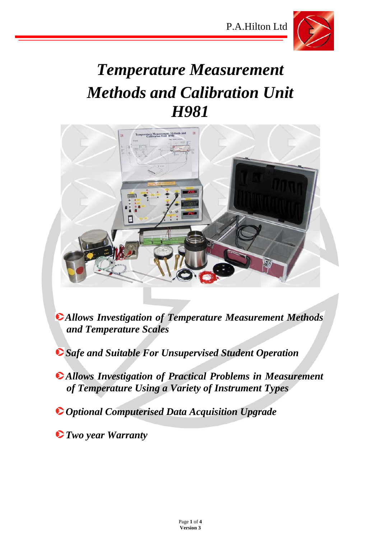

# *Temperature Measurement Methods and Calibration Unit H981*



- *Allows Investigation of Temperature Measurement Methods and Temperature Scales*
- *Safe and Suitable For Unsupervised Student Operation*
- *Allows Investigation of Practical Problems in Measurement of Temperature Using a Variety of Instrument Types*
- *Optional Computerised Data Acquisition Upgrade*
- *Two year Warranty*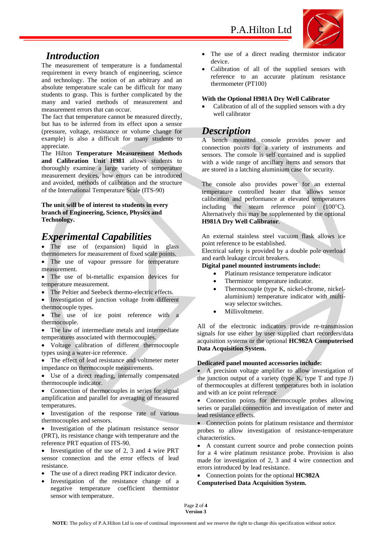

### *Introduction*

The measurement of temperature is a fundamental requirement in every branch of engineering, science and technology. The notion of an arbitrary and an absolute temperature scale can be difficult for many students to grasp. This is further complicated by the many and varied methods of measurement and measurement errors that can occur.

The fact that temperature cannot be measured directly, but has to be inferred from its effect upon a sensor (pressure, voltage, resistance or volume change for example) is also a difficult for many students to appreciate.

The Hilton **Temperature Measurement Methods and Calibration Unit H981** allows students to thoroughly examine a large variety of temperature measurement devices, how errors can be introduced and avoided, methods of calibration and the structure of the International Temperature Scale (ITS-90)

**The unit will be of interest to students in every branch of Engineering, Science, Physics and Technology.** 

# *Experimental Capabilities*

• The use of (expansion) liquid in glass thermometers for measurement of fixed scale points.

- The use of vapour pressure for temperature measurement.
- The use of bi-metallic expansion devices for temperature measurement.
- The Peltier and Seebeck thermo-electric effects.
- Investigation of junction voltage from different thermocouple types.

The use of ice point reference with a thermocouple.

• The law of intermediate metals and intermediate temperatures associated with thermocouples.

 Voltage calibration of different thermocouple types using a water-ice reference.

• The effect of lead resistance and voltmeter meter impedance on thermocouple measurements.

 Use of a direct reading, internally compensated thermocouple indicator.

• Connection of thermocouples in series for signal amplification and parallel for averaging of measured temperatures.

• Investigation of the response rate of various thermocouples and sensors.

 Investigation of the platinum resistance sensor (PRT), its resistance change with temperature and the reference PRT equation of ITS-90.

 Investigation of the use of 2, 3 and 4 wire PRT sensor connection and the error effects of lead resistance.

- The use of a direct reading PRT indicator device.
- Investigation of the resistance change of a negative temperature coefficient thermistor sensor with temperature.
- The use of a direct reading thermistor indicator device.
- Calibration of all of the supplied sensors with reference to an accurate platinum resistance thermometer (PT100)

#### **With the Optional H981A Dry Well Calibrator**

 Calibration of all of the supplied sensors with a dry well calibrator

### *Description*

A bench mounted console provides power and connection points for a variety of instruments and sensors. The console is self contained and is supplied with a wide range of ancillary items and sensors that are stored in a latching aluminium case for security.

The console also provides power for an external temperature controlled heater that allows sensor calibration and performance at elevated temperatures including the steam reference point  $(100^{\circ}C)$ . Alternatively this may be supplemented by the optional **H981A Dry Well Calibrator**.

An external stainless steel vacuum flask allows ice point reference to be established.

Electrical safety is provided by a double pole overload and earth leakage circuit breakers.

#### **Digital panel mounted instruments include:**

- Platinum resistance temperature indicator
- Thermistor temperature indicator.
- Thermocouple (type K, nickel-chrome, nickelaluminium) temperature indicator with multiway selector switches.
- Millivoltmeter.

All of the electronic indicators provide re-transmission signals for use either by user supplied chart recorders/data acquisition systems or the optional **HC982A Computerised Data Acquisition System.** 

#### **Dedicated panel mounted accessories include:**

 A precision voltage amplifier to allow investigation of the junction output of a variety (type K, type T and type J) of thermocouples at different temperatures both in isolation and with an ice point reference

 Connection points for thermocouple probes allowing series or parallel connection and investigation of meter and lead resistance effects.

• Connection points for platinum resistance and thermistor probes to allow investigation of resistance-temperature characteristics.

 A constant current source and probe connection points for a 4 wire platinum resistance probe. Provision is also made for investigation of 2, 3 and 4 wire connection and errors introduced by lead resistance.

 Connection points for the optional **HC982A Computerised Data Acquisition System.** 

Page **2** of **4 Version 3**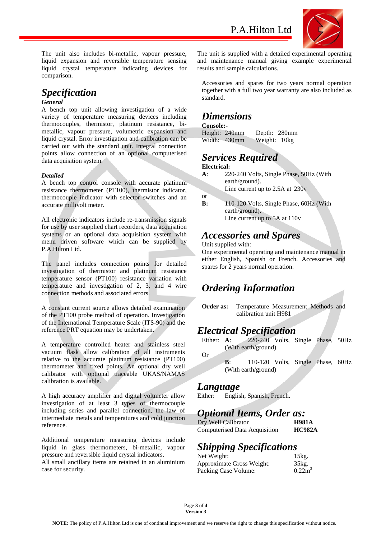

The unit also includes bi-metallic, vapour pressure, liquid expansion and reversible temperature sensing liquid crystal temperature indicating devices for comparison.

# *Specification*

#### *General*

A bench top unit allowing investigation of a wide variety of temperature measuring devices including thermocouples, thermistor, platinum resistance, bimetallic, vapour pressure, volumetric expansion and liquid crystal. Error investigation and calibration can be carried out with the standard unit. Integral connection points allow connection of an optional computerised data acquisition system.

#### *Detailed*

A bench top control console with accurate platinum resistance thermometer (PT100), thermistor indicator, thermocouple indicator with selector switches and an accurate millivolt meter.

All electronic indicators include re-transmission signals for use by user supplied chart recorders, data acquisition systems or an optional data acquisition system with menu driven software which can be supplied by P.A.Hilton Ltd.

The panel includes connection points for detailed investigation of thermistor and platinum resistance temperature sensor (PT100) resistance variation with temperature and investigation of 2, 3, and 4 wire connection methods and associated errors.

A constant current source allows detailed examination of the PT100 probe method of operation. Investigation of the International Temperature Scale (ITS-90) and the reference PRT equation may be undertaken.

A temperature controlled heater and stainless steel vacuum flask allow calibration of all instruments relative to the accurate platinum resistance (PT100) thermometer and fixed points. An optional dry well calibrator with optional traceable UKAS/NAMAS calibration is available.

A high accuracy amplifier and digital voltmeter allow investigation of at least 3 types of thermocouple including series and parallel connection, the law of intermediate metals and temperatures and cold junction reference.

Additional temperature measuring devices include liquid in glass thermometers, bi-metallic, vapour pressure and reversible liquid crystal indicators.

All small ancillary items are retained in an aluminium case for security.

The unit is supplied with a detailed experimental operating and maintenance manual giving example experimental results and sample calculations.

Accessories and spares for two years normal operation together with a full two year warranty are also included as standard.

### *Dimensions*

**Console:-** 

Height: 240mm Depth: 280mm Width: 430mm Weight: 10kg

### *Services Required*

#### **Electrical:**

or

**A**: 220-240 Volts, Single Phase, 50Hz (With earth/ground).

Line current up to 2.5A at 230v

**B:** 110-120 Volts, Single Phase, 60Hz (With earth/ground). Line current up to 5A at 110v

### *Accessories and Spares*

#### Unit supplied with:

One experimental operating and maintenance manual in either English, Spanish or French. Accessories and spares for 2 years normal operation.

## *Ordering Information*

**Order as:** Temperature Measurement Methods and calibration unit H981

### *Electrical Specification*

Either: **A**: 220-240 Volts, Single Phase, 50Hz (With earth/ground) Or

**B**: 110-120 Volts, Single Phase, 60Hz (With earth/ground)

### *Language*

Either: English, Spanish, French.

### *Optional Items, Order as:*

Dry Well Calibrator **H981A** Computerised Data Acquisition **HC982A** 

# *Shipping Specifications*

| Net Weight:               | 15kg.     |
|---------------------------|-----------|
| Approximate Gross Weight: | 35kg.     |
| Packing Case Volume:      | $0.22m^3$ |